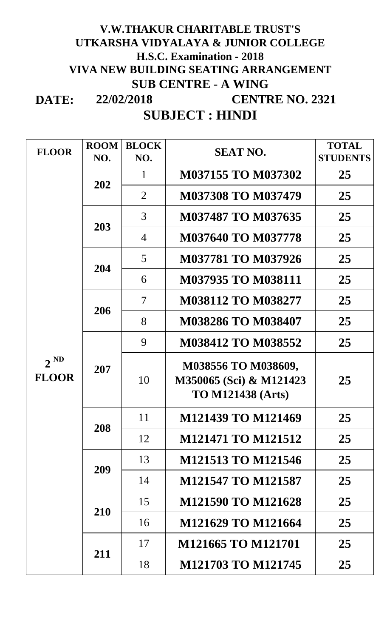## **DATE: 22/02/2018 V.W.THAKUR CHARITABLE TRUST'S UTKARSHA VIDYALAYA & JUNIOR COLLEGE H.S.C. Examination - 2018 VIVA NEW BUILDING SEATING ARRANGEMENT SUB CENTRE - A WING CENTRE NO. 2321**

# **SUBJECT : HINDI**

| <b>FLOOR</b>             | <b>ROOM</b><br>NO. | <b>BLOCK</b><br>NO. | <b>SEAT NO.</b>                                                            | <b>TOTAL</b><br><b>STUDENTS</b> |
|--------------------------|--------------------|---------------------|----------------------------------------------------------------------------|---------------------------------|
| $2^{ND}$<br><b>FLOOR</b> | 202                | 1                   | M037155 TO M037302                                                         | 25                              |
|                          |                    | $\overline{2}$      | <b>M037308 TO M037479</b>                                                  | 25                              |
|                          | 203                | 3                   | M037487 TO M037635                                                         | 25                              |
|                          |                    | $\overline{4}$      | <b>M037640 TO M037778</b>                                                  | 25                              |
|                          | 204                | $\overline{5}$      | <b>M037781 TO M037926</b>                                                  | 25                              |
|                          |                    | 6                   | <b>M037935 TO M038111</b>                                                  | 25                              |
|                          | 206                | $\overline{7}$      | <b>M038112 TO M038277</b>                                                  | 25                              |
|                          |                    | 8                   | <b>M038286 TO M038407</b>                                                  | 25                              |
|                          | 207                | 9                   | M038412 TO M038552                                                         | 25                              |
|                          |                    | 10                  | M038556 TO M038609,<br>M350065 (Sci) & M121423<br><b>TO M121438 (Arts)</b> | 25                              |
|                          | 208                | 11                  | M121439 TO M121469                                                         | 25                              |
|                          |                    | 12                  | <b>M121471 TO M121512</b>                                                  | 25                              |
|                          | 209                | 13                  | M121513 TO M121546                                                         | 25                              |
|                          |                    | 14                  | <b>M121547 TO M121587</b>                                                  | 25                              |
|                          | 210                | 15                  | M121590 TO M121628                                                         | 25                              |
|                          |                    | 16                  | M121629 TO M121664                                                         | 25                              |
|                          | 211                | 17                  | M121665 TO M121701                                                         | 25                              |
|                          |                    | 18                  | M121703 TO M121745                                                         | 25                              |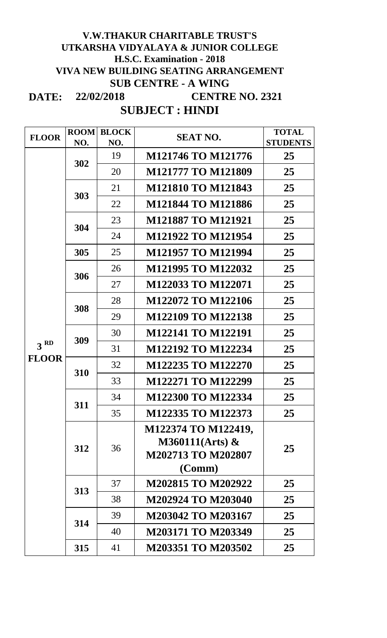#### **DATE: 22/02/2018 V.W.THAKUR CHARITABLE TRUST'S UTKARSHA VIDYALAYA & JUNIOR COLLEGE H.S.C. Examination - 2018 VIVA NEW BUILDING SEATING ARRANGEMENT SUB CENTRE - A WING CENTRE NO. 2321**

### **SUBJECT : HINDI**

| <b>FLOOR</b>                    | <b>ROOM</b> | <b>BLOCK</b> | <b>SEAT NO.</b>                         | <b>TOTAL</b>    |
|---------------------------------|-------------|--------------|-----------------------------------------|-----------------|
|                                 | NO.         | NO.          |                                         | <b>STUDENTS</b> |
|                                 | 302         | 19           | M121746 TO M121776                      | 25              |
|                                 |             | 20           | <b>M121777 TO M121809</b>               | 25              |
|                                 | 303         | 21           | <b>M121810 TO M121843</b>               | 25              |
|                                 |             | 22           | <b>M121844 TO M121886</b>               | 25              |
|                                 | 304         | 23           | <b>M121887 TO M121921</b>               | 25              |
|                                 |             | 24           | M121922 TO M121954                      | 25              |
|                                 | 305         | 25           | <b>M121957 TO M121994</b>               | 25              |
|                                 | 306         | 26           | M121995 TO M122032                      | 25              |
|                                 |             | 27           | M122033 TO M122071                      | 25              |
|                                 | 308         | 28           | M122072 TO M122106                      | 25              |
|                                 |             | 29           | M122109 TO M122138                      | 25              |
|                                 | 309         | 30           | <b>M122141 TO M122191</b>               | 25              |
| 3 <sup>RD</sup><br><b>FLOOR</b> |             | 31           | M122192 TO M122234                      | 25              |
|                                 | 310         | 32           | M122235 TO M122270                      | 25              |
|                                 |             | 33           | M122271 TO M122299                      | 25              |
|                                 | 311         | 34           | M122300 TO M122334                      | 25              |
|                                 |             | 35           | M122335 TO M122373                      | 25              |
|                                 | 312         | 36           | M122374 TO M122419,                     | 25              |
|                                 |             |              | $M360111(Arts)$ &<br>M202713 TO M202807 |                 |
|                                 |             |              | (Comm)                                  |                 |
|                                 | 313         | 37           | M202815 TO M202922                      | 25              |
|                                 |             | 38           | M202924 TO M203040                      | 25              |
|                                 | 314         | 39           | M203042 TO M203167                      | 25              |
|                                 |             | 40           | M203171 TO M203349                      | 25              |
|                                 | 315         | 41           | M203351 TO M203502                      | 25              |